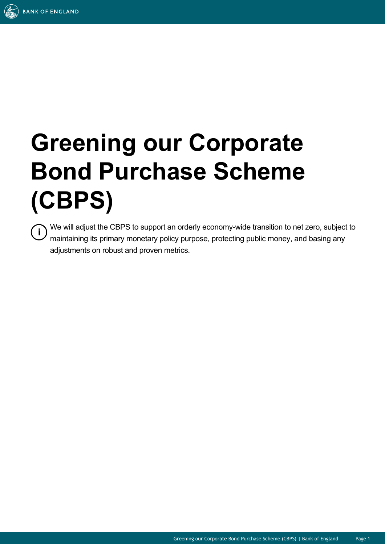

# **Greening our Corporate Bond Purchase Scheme (CBPS)**

**i** We will adjust the CBPS to support an orderly economy-wide transition to net zero, subject to maintaining its primary monetary policy purpose, protecting public money, and basing any adjustments on robust and proven metrics.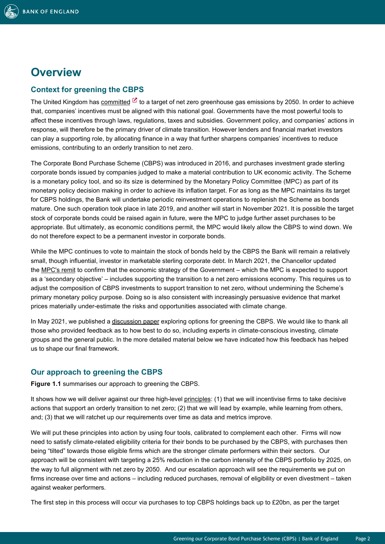# **Overview**

## **Context for greening the CBPS**

The United Kingdom has [committed](https://www.gov.uk/government/news/uk-becomes-first-major-economy-to-pass-net-zero-emissions-law)  $\mathbb Z$  to a target of net zero greenhouse gas emissions by 2050. In order to achieve that, companies' incentives must be aligned with this national goal. Governments have the most powerful tools to affect these incentives through laws, regulations, taxes and subsidies. Government policy, and companies' actions in response, will therefore be the primary driver of climate transition. However lenders and financial market investors can play a supporting role, by allocating finance in a way that further sharpens companies' incentives to reduce emissions, contributing to an orderly transition to net zero.

The Corporate Bond Purchase Scheme (CBPS) was introduced in 2016, and purchases investment grade sterling corporate bonds issued by companies judged to make a material contribution to UK economic activity. The Scheme is a monetary policy tool, and so its size is determined by the Monetary Policy Committee (MPC) as part of its monetary policy decision making in order to achieve its inflation target. For as long as the MPC maintains its target for CBPS holdings, the Bank will undertake periodic reinvestment operations to replenish the Scheme as bonds mature. One such operation took place in late 2019, and another will start in November 2021. It is possible the target stock of corporate bonds could be raised again in future, were the MPC to judge further asset purchases to be appropriate. But ultimately, as economic conditions permit, the MPC would likely allow the CBPS to wind down. We do not therefore expect to be a permanent investor in corporate bonds.

While the MPC continues to vote to maintain the stock of bonds held by the CBPS the Bank will remain a relatively small, though influential, investor in marketable sterling corporate debt. In March 2021, the Chancellor updated the [MPC's remit](http://www.bankofengland.co.uk/letter/2021/march/mpc-remit-2021) to confirm that the economic strategy of the Government – which the MPC is expected to support as a 'secondary objective' – includes supporting the transition to a net zero emissions economy. This requires us to adjust the composition of CBPS investments to support transition to net zero, without undermining the Scheme's primary monetary policy purpose. Doing so is also consistent with increasingly persuasive evidence that market prices materially under-estimate the risks and opportunities associated with climate change.

In May 2021, we published a [discussion paper](http://www.bankofengland.co.uk/paper/2021/options-for-greening-the-bank-of-englands-corporate-bond-purchase-scheme) exploring options for greening the CBPS. We would like to thank all those who provided feedback as to how best to do so, including experts in climate-conscious investing, climate groups and the general public. In the more detailed material below we have indicated how this feedback has helped us to shape our final framework.

## **Our approach to greening the CBPS**

**Figure 1.1** summarises our approach to greening the CBPS.

It shows how we will deliver against our three high-level [principles:](#page-4-0) (1) that we will incentivise firms to take decisive actions that support an orderly transition to net zero; (2) that we will lead by example, while learning from others, and; (3) that we will ratchet up our requirements over time as data and metrics improve.

We will put these principles into action by using four tools, calibrated to complement each other. Firms will now need to satisfy climate-related eligibility criteria for their bonds to be purchased by the CBPS, with purchases then being "tilted" towards those eligible firms which are the stronger climate performers within their sectors. Our approach will be consistent with targeting a 25% reduction in the carbon intensity of the CBPS portfolio by 2025, on the way to full alignment with net zero by 2050. And our escalation approach will see the requirements we put on firms increase over time and actions – including reduced purchases, removal of eligibility or even divestment – taken against weaker performers.

The first step in this process will occur via purchases to top CBPS holdings back up to £20bn, as per the target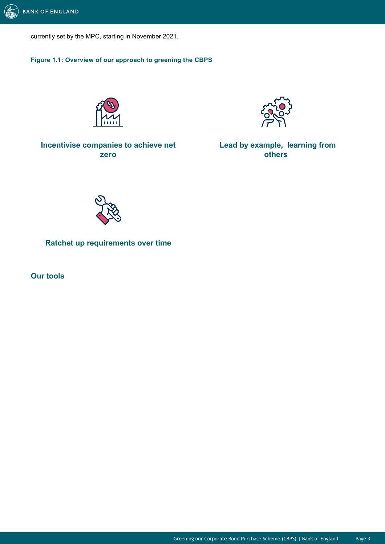

currently set by the MPC, starting in November 2021.

**Figure 1.1: Overview of our approach to greening the CBPS**





**Incentivise companies to achieve net zero**

 **Lead by example, learning from others** 



**Ratchet up requirements over time**

**Our tools**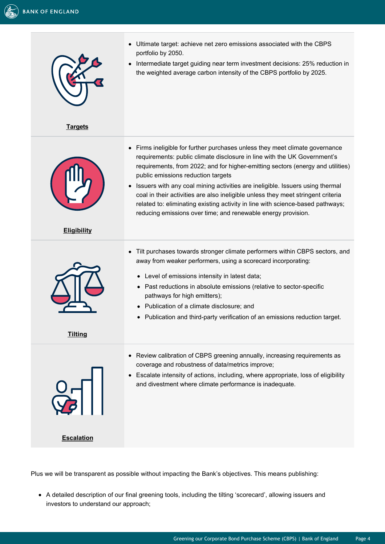| <b>Targets</b>     | • Ultimate target: achieve net zero emissions associated with the CBPS<br>portfolio by 2050.<br>Intermediate target guiding near term investment decisions: 25% reduction in<br>$\bullet$<br>the weighted average carbon intensity of the CBPS portfolio by 2025.                                                                                                                                                                                                                                                                                                                                                    |
|--------------------|----------------------------------------------------------------------------------------------------------------------------------------------------------------------------------------------------------------------------------------------------------------------------------------------------------------------------------------------------------------------------------------------------------------------------------------------------------------------------------------------------------------------------------------------------------------------------------------------------------------------|
| <b>Eligibility</b> | Firms ineligible for further purchases unless they meet climate governance<br>requirements: public climate disclosure in line with the UK Government's<br>requirements, from 2022; and for higher-emitting sectors (energy and utilities)<br>public emissions reduction targets<br>Issuers with any coal mining activities are ineligible. Issuers using thermal<br>$\bullet$<br>coal in their activities are also ineligible unless they meet stringent criteria<br>related to: eliminating existing activity in line with science-based pathways;<br>reducing emissions over time; and renewable energy provision. |
| <b>Tilting</b>     | Tilt purchases towards stronger climate performers within CBPS sectors, and<br>٠<br>away from weaker performers, using a scorecard incorporating:<br>• Level of emissions intensity in latest data;<br>• Past reductions in absolute emissions (relative to sector-specific<br>pathways for high emitters);<br>Publication of a climate disclosure; and<br>Publication and third-party verification of an emissions reduction target.<br>٠                                                                                                                                                                           |
| $\frac{1}{2}$      | Review calibration of CBPS greening annually, increasing requirements as<br>٠<br>coverage and robustness of data/metrics improve;<br>Escalate intensity of actions, including, where appropriate, loss of eligibility<br>and divestment where climate performance is inadequate.                                                                                                                                                                                                                                                                                                                                     |
| <b>Escalation</b>  |                                                                                                                                                                                                                                                                                                                                                                                                                                                                                                                                                                                                                      |

Plus we will be transparent as possible without impacting the Bank's objectives. This means publishing:

A detailed description of our final greening tools, including the tilting 'scorecard', allowing issuers and investors to understand our approach;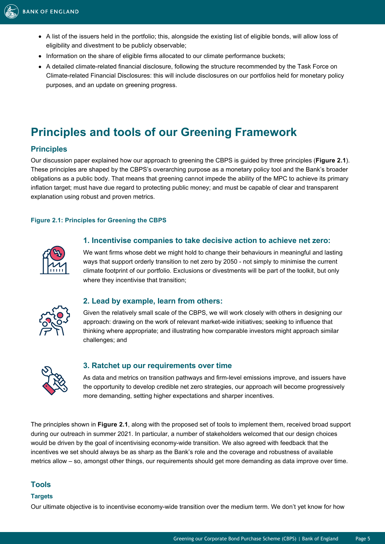- A list of the issuers held in the portfolio; this, alongside the existing list of eligible bonds, will allow loss of eligibility and divestment to be publicly observable;
- Information on the share of eligible firms allocated to our climate performance buckets;
- A detailed climate-related financial disclosure, following the structure recommended by the Task Force on Climate-related Financial Disclosures: this will include disclosures on our portfolios held for monetary policy purposes, and an update on greening progress.

# **Principles and tools of our Greening Framework**

# <span id="page-4-0"></span>**Principles**

Our discussion paper explained how our approach to greening the CBPS is guided by three principles (**Figure 2.1**). These principles are shaped by the CBPS's overarching purpose as a monetary policy tool and the Bank's broader obligations as a public body. That means that greening cannot impede the ability of the MPC to achieve its primary inflation target; must have due regard to protecting public money; and must be capable of clear and transparent explanation using robust and proven metrics.

#### **Figure 2.1: Principles for Greening the CBPS**



#### **1. Incentivise companies to take decisive action to achieve net zero:**

We want firms whose debt we might hold to change their behaviours in meaningful and lasting ways that support orderly transition to net zero by 2050 - not simply to minimise the current climate footprint of our portfolio. Exclusions or divestments will be part of the toolkit, but only where they incentivise that transition;



#### **2. Lead by example, learn from others:**

Given the relatively small scale of the CBPS, we will work closely with others in designing our approach: drawing on the work of relevant market-wide initiatives; seeking to influence that thinking where appropriate; and illustrating how comparable investors might approach similar challenges; and



#### **3. Ratchet up our requirements over time**

As data and metrics on transition pathways and firm-level emissions improve, and issuers have the opportunity to develop credible net zero strategies, our approach will become progressively more demanding, setting higher expectations and sharper incentives.

The principles shown in **Figure 2.1**, along with the proposed set of tools to implement them, received broad support during our outreach in summer 2021. In particular, a number of stakeholders welcomed that our design choices would be driven by the goal of incentivising economy-wide transition. We also agreed with feedback that the incentives we set should always be as sharp as the Bank's role and the coverage and robustness of available metrics allow – so, amongst other things, our requirements should get more demanding as data improve over time.

## **Tools**

#### <span id="page-4-1"></span>**Targets**

Our ultimate objective is to incentivise economy-wide transition over the medium term. We don't yet know for how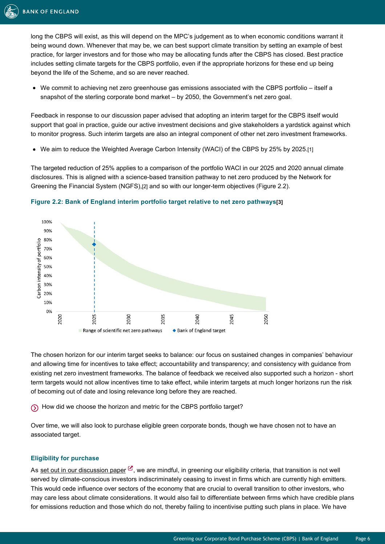long the CBPS will exist, as this will depend on the MPC's judgement as to when economic conditions warrant it being wound down. Whenever that may be, we can best support climate transition by setting an example of best practice, for larger investors and for those who may be allocating funds after the CBPS has closed. Best practice includes setting climate targets for the CBPS portfolio, even if the appropriate horizons for these end up being beyond the life of the Scheme, and so are never reached.

We commit to achieving net zero greenhouse gas emissions associated with the CBPS portfolio – itself a snapshot of the sterling corporate bond market – by 2050, the Government's net zero goal.

Feedback in response to our discussion paper advised that adopting an interim target for the CBPS itself would support that goal in practice, guide our active investment decisions and give stakeholders a yardstick against which to monitor progress. Such interim targets are also an integral component of other net zero investment frameworks.

We aim to reduce the Weighted Average Carbon Intensity (WACI) of the CBPS by 25% by 2025.[\[1\]](#page-13-0)

The targeted reduction of 25% applies to a comparison of the portfolio WACI in our 2025 and 2020 annual climate disclosures. This is aligned with a science-based transition pathway to net zero produced by the Network for Greening the Financial System (NGFS),[\[2\]](#page-13-1) and so with our longer-term objectives (Figure 2.2).



**Figure 2.2: Bank of England interim portfolio target relative to net zero pathways[\[3\]](#page-13-2)**

The chosen horizon for our interim target seeks to balance: our focus on sustained changes in companies' behaviour and allowing time for incentives to take effect; accountability and transparency; and consistency with guidance from existing net zero investment frameworks. The balance of feedback we received also supported such a horizon - short term targets would not allow incentives time to take effect, while interim targets at much longer horizons run the risk of becoming out of date and losing relevance long before they are reached.

[How did we choose the horizon and metric for the CBPS portfolio target?](#page-10-0)  $\circ$ 

Over time, we will also look to purchase eligible green corporate bonds, though we have chosen not to have an associated target.

#### <span id="page-5-0"></span>**Eligibility for purchase**

As [set out in our discussion paper](http://www.bankofengland.co.uk/-/media/boe/files/paper/2021/options-for-greening-the-bank-of-englands-corporate-bond-purchase-scheme-discussion-paper.pdf?la=en&hash=B8C9BBA546CBA014EF84D745C5BF0649F185C592#page=31)  $G$ , we are mindful, in greening our eligibility criteria, that transition is not well served by climate-conscious investors indiscriminately ceasing to invest in firms which are currently high emitters. This would cede influence over sectors of the economy that are crucial to overall transition to other investors, who may care less about climate considerations. It would also fail to differentiate between firms which have credible plans for emissions reduction and those which do not, thereby failing to incentivise putting such plans in place. We have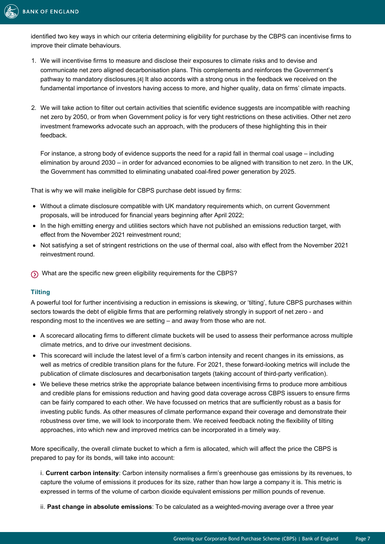identified two key ways in which our criteria determining eligibility for purchase by the CBPS can incentivise firms to improve their climate behaviours.

- 1. We will incentivise firms to measure and disclose their exposures to climate risks and to devise and communicate net zero aligned decarbonisation plans. This complements and reinforces the Government's pathway to mandatory disclosures.[\[4\]](#page-13-3) It also accords with a strong onus in the feedback we received on the fundamental importance of investors having access to more, and higher quality, data on firms' climate impacts.
- 2. We will take action to filter out certain activities that scientific evidence suggests are incompatible with reaching net zero by 2050, or from when Government policy is for very tight restrictions on these activities. Other net zero investment frameworks advocate such an approach, with the producers of these highlighting this in their feedback.

For instance, a strong body of evidence supports the need for a rapid fall in thermal coal usage – including elimination by around 2030 – in order for advanced economies to be aligned with transition to net zero. In the UK, the Government has committed to eliminating unabated coal-fired power generation by 2025.

That is why we will make ineligible for CBPS purchase debt issued by firms:

- Without a climate disclosure compatible with UK mandatory requirements which, on current Government proposals, will be introduced for financial years beginning after April 2022;
- In the high emitting energy and utilities sectors which have not published an emissions reduction target, with effect from the November 2021 reinvestment round;
- Not satisfying a set of stringent restrictions on the use of thermal coal, also with effect from the November 2021 reinvestment round.
- $\Diamond$  [What are the specific new green eligibility requirements for the CBPS?](#page-11-0)

#### <span id="page-6-0"></span>**Tilting**

A powerful tool for further incentivising a reduction in emissions is skewing, or 'tilting', future CBPS purchases within sectors towards the debt of eligible firms that are performing relatively strongly in support of net zero - and responding most to the incentives we are setting – and away from those who are not.

- A scorecard allocating firms to different climate buckets will be used to assess their performance across multiple climate metrics, and to drive our investment decisions.
- This scorecard will include the latest level of a firm's carbon intensity and recent changes in its emissions, as well as metrics of credible transition plans for the future. For 2021, these forward-looking metrics will include the publication of climate disclosures and decarbonisation targets (taking account of third-party verification).
- We believe these metrics strike the appropriate balance between incentivising firms to produce more ambitious and credible plans for emissions reduction and having good data coverage across CBPS issuers to ensure firms can be fairly compared to each other. We have focussed on metrics that are sufficiently robust as a basis for investing public funds. As other measures of climate performance expand their coverage and demonstrate their robustness over time, we will look to incorporate them. We received feedback noting the flexibility of tilting approaches, into which new and improved metrics can be incorporated in a timely way.

More specifically, the overall climate bucket to which a firm is allocated, which will affect the price the CBPS is prepared to pay for its bonds, will take into account:

i. **Current carbon intensity**: Carbon intensity normalises a firm's greenhouse gas emissions by its revenues, to capture the volume of emissions it produces for its size, rather than how large a company it is. This metric is expressed in terms of the volume of carbon dioxide equivalent emissions per million pounds of revenue.

ii. **Past change in absolute emissions**: To be calculated as a weighted-moving average over a three year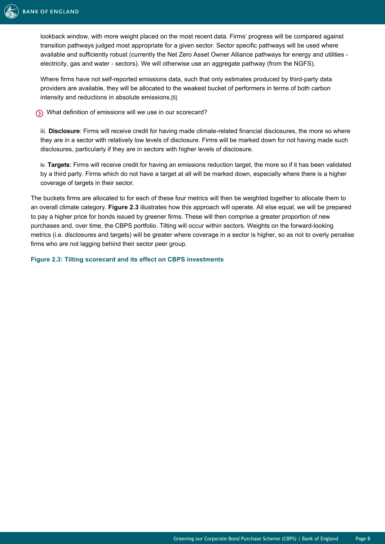lookback window, with more weight placed on the most recent data. Firms' progress will be compared against transition pathways judged most appropriate for a given sector. Sector specific pathways will be used where available and sufficiently robust (currently the Net Zero Asset Owner Alliance pathways for energy and utilities electricity, gas and water - sectors). We will otherwise use an aggregate pathway (from the NGFS).

Where firms have not self-reported emissions data, such that only estimates produced by third-party data providers are available, they will be allocated to the weakest bucket of performers in terms of both carbon intensity and reductions in absolute emissions.[\[5\]](#page-13-4)

 $\odot$  [What definition of emissions will we use in our scorecard?](#page-12-0)

iii. **Disclosure**: Firms will receive credit for having made climate-related financial disclosures, the more so where they are in a sector with relatively low levels of disclosure. Firms will be marked down for not having made such disclosures, particularly if they are in sectors with higher levels of disclosure.

iv. **Targets**: Firms will receive credit for having an emissions reduction target, the more so if it has been validated by a third party. Firms which do not have a target at all will be marked down, especially where there is a higher coverage of targets in their sector.

The buckets firms are allocated to for each of these four metrics will then be weighted together to allocate them to an overall climate category. **Figure 2.3** illustrates how this approach will operate. All else equal, we will be prepared to pay a higher price for bonds issued by greener firms. These will then comprise a greater proportion of new purchases and, over time, the CBPS portfolio. Tilting will occur within sectors. Weights on the forward-looking metrics (i.e. disclosures and targets) will be greater where coverage in a sector is higher, so as not to overly penalise firms who are not lagging behind their sector peer group.

**Figure 2.3: Tilting scorecard and its effect on CBPS investments**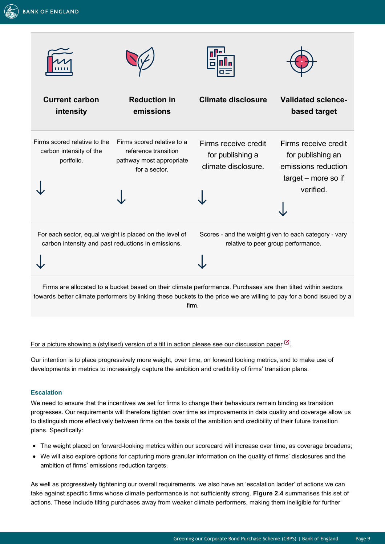| <b>Current carbon</b><br>intensity                                                                            | <b>Reduction in</b><br>emissions                                                                | <b>Climate disclosure</b>                                                                    | <b>Validated science-</b><br>based target                                                            |  |
|---------------------------------------------------------------------------------------------------------------|-------------------------------------------------------------------------------------------------|----------------------------------------------------------------------------------------------|------------------------------------------------------------------------------------------------------|--|
| Firms scored relative to the<br>carbon intensity of the<br>portfolio.                                         | Firms scored relative to a<br>reference transition<br>pathway most appropriate<br>for a sector. | Firms receive credit<br>for publishing a<br>climate disclosure.                              | Firms receive credit<br>for publishing an<br>emissions reduction<br>target – more so if<br>verified. |  |
| For each sector, equal weight is placed on the level of<br>carbon intensity and past reductions in emissions. |                                                                                                 | Scores - and the weight given to each category - vary<br>relative to peer group performance. |                                                                                                      |  |
| Firms are allocated to a bucket based on their climate performance. Purchases are then tilted within sectors  |                                                                                                 |                                                                                              |                                                                                                      |  |

towards better climate performers by linking these buckets to the price we are willing to pay for a bond issued by a firm.

#### [For a picture showing a \(stylised\) version of a tilt in action please see our discussion paper](http://www.bankofengland.co.uk/-/media/boe/files/paper/2021/options-for-greening-the-bank-of-englands-corporate-bond-purchase-scheme-discussion-paper.pdf?la=en&hash=B8C9BBA546CBA014EF84D745C5BF0649F185C592#page=53)  $\mathbb{Z}$ .

Our intention is to place progressively more weight, over time, on forward looking metrics, and to make use of developments in metrics to increasingly capture the ambition and credibility of firms' transition plans.

#### <span id="page-8-0"></span>**Escalation**

We need to ensure that the incentives we set for firms to change their behaviours remain binding as transition progresses. Our requirements will therefore tighten over time as improvements in data quality and coverage allow us to distinguish more effectively between firms on the basis of the ambition and credibility of their future transition plans. Specifically:

- The weight placed on forward-looking metrics within our scorecard will increase over time, as coverage broadens;
- We will also explore options for capturing more granular information on the quality of firms' disclosures and the ambition of firms' emissions reduction targets.

As well as progressively tightening our overall requirements, we also have an 'escalation ladder' of actions we can take against specific firms whose climate performance is not sufficiently strong. **Figure 2.4** summarises this set of actions. These include tilting purchases away from weaker climate performers, making them ineligible for further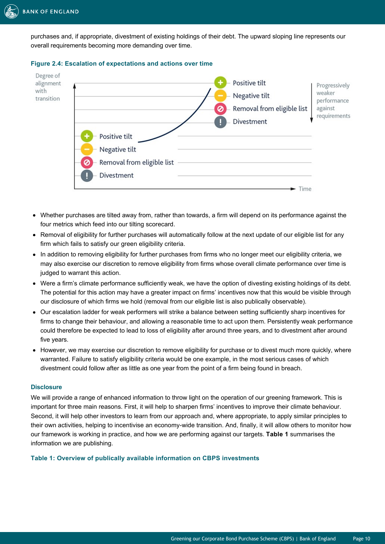purchases and, if appropriate, divestment of existing holdings of their debt. The upward sloping line represents our overall requirements becoming more demanding over time.



#### **Figure 2.4: Escalation of expectations and actions over time**

- Whether purchases are tilted away from, rather than towards, a firm will depend on its performance against the four metrics which feed into our tilting scorecard.
- Removal of eligibility for further purchases will automatically follow at the next update of our eligible list for any firm which fails to satisfy our green eligibility criteria.
- In addition to removing eligibility for further purchases from firms who no longer meet our eligibility criteria, we may also exercise our discretion to remove eligibility from firms whose overall climate performance over time is judged to warrant this action.
- Were a firm's climate performance sufficiently weak, we have the option of divesting existing holdings of its debt. The potential for this action may have a greater impact on firms' incentives now that this would be visible through our disclosure of which firms we hold (removal from our eligible list is also publically observable).
- Our escalation ladder for weak performers will strike a balance between setting sufficiently sharp incentives for firms to change their behaviour, and allowing a reasonable time to act upon them. Persistently weak performance could therefore be expected to lead to loss of eligibility after around three years, and to divestment after around five years.
- However, we may exercise our discretion to remove eligibility for purchase or to divest much more quickly, where warranted. Failure to satisfy eligibility criteria would be one example, in the most serious cases of which divestment could follow after as little as one year from the point of a firm being found in breach.

#### **Disclosure**

We will provide a range of enhanced information to throw light on the operation of our greening framework. This is important for three main reasons. First, it will help to sharpen firms' incentives to improve their climate behaviour. Second, it will help other investors to learn from our approach and, where appropriate, to apply similar principles to their own activities, helping to incentivise an economy-wide transition. And, finally, it will allow others to monitor how our framework is working in practice, and how we are performing against our targets. **Table 1** summarises the information we are publishing.

#### **Table 1: Overview of publically available information on CBPS investments**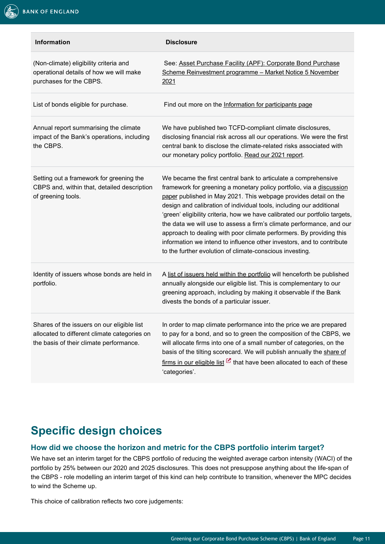| <b>Information</b>                                                                                                                    | <b>Disclosure</b>                                                                                                                                                                                                                                                                                                                                                                                                                                                                                                                                                                                                                                     |  |
|---------------------------------------------------------------------------------------------------------------------------------------|-------------------------------------------------------------------------------------------------------------------------------------------------------------------------------------------------------------------------------------------------------------------------------------------------------------------------------------------------------------------------------------------------------------------------------------------------------------------------------------------------------------------------------------------------------------------------------------------------------------------------------------------------------|--|
| (Non-climate) eligibility criteria and<br>operational details of how we will make<br>purchases for the CBPS.                          | See: Asset Purchase Facility (APF): Corporate Bond Purchase<br>Scheme Reinvestment programme - Market Notice 5 November<br>2021                                                                                                                                                                                                                                                                                                                                                                                                                                                                                                                       |  |
| List of bonds eligible for purchase.                                                                                                  | Find out more on the Information for participants page                                                                                                                                                                                                                                                                                                                                                                                                                                                                                                                                                                                                |  |
| Annual report summarising the climate<br>impact of the Bank's operations, including<br>the CBPS.                                      | We have published two TCFD-compliant climate disclosures,<br>disclosing financial risk across all our operations. We were the first<br>central bank to disclose the climate-related risks associated with<br>our monetary policy portfolio. Read our 2021 report.                                                                                                                                                                                                                                                                                                                                                                                     |  |
| Setting out a framework for greening the<br>CBPS and, within that, detailed description<br>of greening tools.                         | We became the first central bank to articulate a comprehensive<br>framework for greening a monetary policy portfolio, via a discussion<br>paper published in May 2021. This webpage provides detail on the<br>design and calibration of individual tools, including our additional<br>'green' eligibility criteria, how we have calibrated our portfolio targets,<br>the data we will use to assess a firm's climate performance, and our<br>approach to dealing with poor climate performers. By providing this<br>information we intend to influence other investors, and to contribute<br>to the further evolution of climate-conscious investing. |  |
| Identity of issuers whose bonds are held in<br>portfolio.                                                                             | A list of issuers held within the portfolio will henceforth be published<br>annually alongside our eligible list. This is complementary to our<br>greening approach, including by making it observable if the Bank<br>divests the bonds of a particular issuer.                                                                                                                                                                                                                                                                                                                                                                                       |  |
| Shares of the issuers on our eligible list<br>allocated to different climate categories on<br>the basis of their climate performance. | In order to map climate performance into the price we are prepared<br>to pay for a bond, and so to green the composition of the CBPS, we<br>will allocate firms into one of a small number of categories, on the<br>basis of the tilting scorecard. We will publish annually the share of<br>firms in our eligible list $Z$ that have been allocated to each of these<br>'categories'.                                                                                                                                                                                                                                                                |  |

# **Specific design choices**

# <span id="page-10-0"></span>**How did we choose the horizon and metric for the CBPS portfolio interim target?**

We have set an interim target for the CBPS portfolio of reducing the weighted average carbon intensity (WACI) of the portfolio by 25% between our 2020 and 2025 disclosures. This does not presuppose anything about the life-span of the CBPS - role modelling an interim target of this kind can help contribute to transition, whenever the MPC decides to wind the Scheme up.

This choice of calibration reflects two core judgements: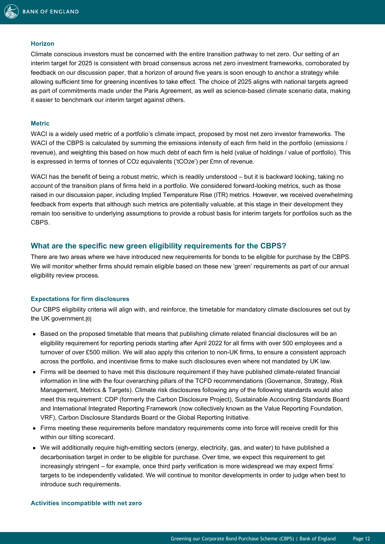

#### **Horizon**

Climate conscious investors must be concerned with the entire transition pathway to net zero. Our setting of an interim target for 2025 is consistent with broad consensus across net zero investment frameworks, corroborated by feedback on our discussion paper, that a horizon of around five years is soon enough to anchor a strategy while allowing sufficient time for greening incentives to take effect. The choice of 2025 aligns with national targets agreed as part of commitments made under the Paris Agreement, as well as science-based climate scenario data, making it easier to benchmark our interim target against others.

#### **Metric**

WACI is a widely used metric of a portfolio's climate impact, proposed by most net zero investor frameworks. The WACI of the CBPS is calculated by summing the emissions intensity of each firm held in the portfolio (emissions / revenue), and weighting this based on how much debt of each firm is held (value of holdings / value of portfolio). This is expressed in terms of tonnes of CO2 equivalents ('tCO2e') per £mn of revenue.

WACI has the benefit of being a robust metric, which is readily understood – but it is backward looking, taking no account of the transition plans of firms held in a portfolio. We considered forward-looking metrics, such as those raised in our discussion paper, including Implied Temperature Rise (ITR) metrics. However, we received overwhelming feedback from experts that although such metrics are potentially valuable, at this stage in their development they remain too sensitive to underlying assumptions to provide a robust basis for interim targets for portfolios such as the CBPS.

#### <span id="page-11-0"></span>**What are the specific new green eligibility requirements for the CBPS?**

There are two areas where we have introduced new requirements for bonds to be eligible for purchase by the CBPS. We will monitor whether firms should remain eligible based on these new 'green' requirements as part of our annual eligibility review process.

#### **Expectations for firm disclosures**

Our CBPS eligibility criteria will align with, and reinforce, the timetable for mandatory climate disclosures set out by the UK government.[\[6\]](#page-13-5)

- Based on the proposed timetable that means that publishing climate related financial disclosures will be an eligibility requirement for reporting periods starting after April 2022 for all firms with over 500 employees and a turnover of over £500 million. We will also apply this criterion to non-UK firms, to ensure a consistent approach across the portfolio, and incentivise firms to make such disclosures even where not mandated by UK law.
- Firms will be deemed to have met this disclosure requirement if they have published climate-related financial information in line with the four overarching pillars of the TCFD recommendations (Governance, Strategy, Risk Management, Metrics & Targets). Climate risk disclosures following any of the following standards would also meet this requirement: CDP (formerly the Carbon Disclosure Project), Sustainable Accounting Standards Board and International Integrated Reporting Framework (now collectively known as the Value Reporting Foundation, VRF), Carbon Disclosure Standards Board or the Global Reporting Initiative.
- Firms meeting these requirements before mandatory requirements come into force will receive credit for this within our tilting scorecard.
- We will additionally require high-emitting sectors (energy, electricity, gas, and water) to have published a decarbonisation target in order to be eligible for purchase. Over time, we expect this requirement to get increasingly stringent – for example, once third party verification is more widespread we may expect firms' targets to be independently validated. We will continue to monitor developments in order to judge when best to introduce such requirements.

#### **Activities incompatible with net zero**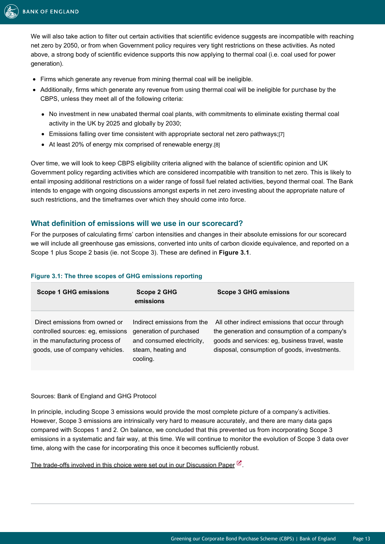We will also take action to filter out certain activities that scientific evidence suggests are incompatible with reaching net zero by 2050, or from when Government policy requires very tight restrictions on these activities. As noted above, a strong body of scientific evidence supports this now applying to thermal coal (i.e. coal used for power generation).

- Firms which generate any revenue from mining thermal coal will be ineligible.
- Additionally, firms which generate any revenue from using thermal coal will be ineligible for purchase by the CBPS, unless they meet all of the following criteria:
	- No investment in new unabated thermal coal plants, with commitments to eliminate existing thermal coal activity in the UK by 2025 and globally by 2030;
	- Emissions falling over time consistent with appropriate sectoral net zero pathways;[\[7\]](#page-13-6)
	- At least 20% of energy mix comprised of renewable energy.[\[8\]](#page-13-7)

Over time, we will look to keep CBPS eligibility criteria aligned with the balance of scientific opinion and UK Government policy regarding activities which are considered incompatible with transition to net zero. This is likely to entail imposing additional restrictions on a wider range of fossil fuel related activities, beyond thermal coal. The Bank intends to engage with ongoing discussions amongst experts in net zero investing about the appropriate nature of such restrictions, and the timeframes over which they should come into force.

# <span id="page-12-0"></span>**What definition of emissions will we use in our scorecard?**

For the purposes of calculating firms' carbon intensities and changes in their absolute emissions for our scorecard we will include all greenhouse gas emissions, converted into units of carbon dioxide equivalence, and reported on a Scope 1 plus Scope 2 basis (ie. not Scope 3). These are defined in **Figure 3.1**.

# **Figure 3.1: The three scopes of GHG emissions reporting**

| <b>Scope 1 GHG emissions</b>                                                                                                              | <b>Scope 2 GHG</b><br>emissions                                                                                       | <b>Scope 3 GHG emissions</b>                                                                                                                                                                       |
|-------------------------------------------------------------------------------------------------------------------------------------------|-----------------------------------------------------------------------------------------------------------------------|----------------------------------------------------------------------------------------------------------------------------------------------------------------------------------------------------|
| Direct emissions from owned or<br>controlled sources: eg, emissions<br>in the manufacturing process of<br>goods, use of company vehicles. | Indirect emissions from the<br>generation of purchased<br>and consumed electricity,<br>steam, heating and<br>cooling. | All other indirect emissions that occur through<br>the generation and consumption of a company's<br>goods and services: eg, business travel, waste<br>disposal, consumption of goods, investments. |

## Sources: Bank of England and GHG Protocol

In principle, including Scope 3 emissions would provide the most complete picture of a company's activities. However, Scope 3 emissions are intrinsically very hard to measure accurately, and there are many data gaps compared with Scopes 1 and 2. On balance, we concluded that this prevented us from incorporating Scope 3 emissions in a systematic and fair way, at this time. We will continue to monitor the evolution of Scope 3 data over time, along with the case for incorporating this once it becomes sufficiently robust.

[The trade-offs involved in this choice were set out in our Discussion Paper](http://www.bankofengland.co.uk/-/media/boe/files/paper/2021/options-for-greening-the-bank-of-englands-corporate-bond-purchase-scheme-discussion-paper.pdf?la=en&hash=B8C9BBA546CBA014EF84D745C5BF0649F185C592#page=26)  $\mathfrak C$ .